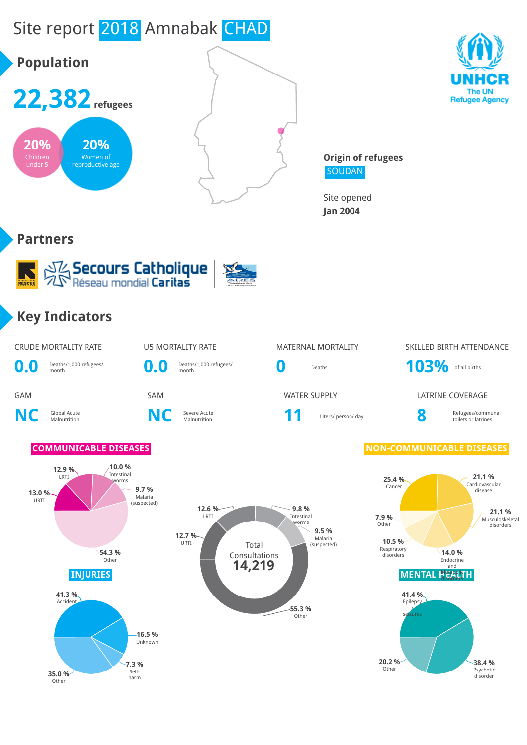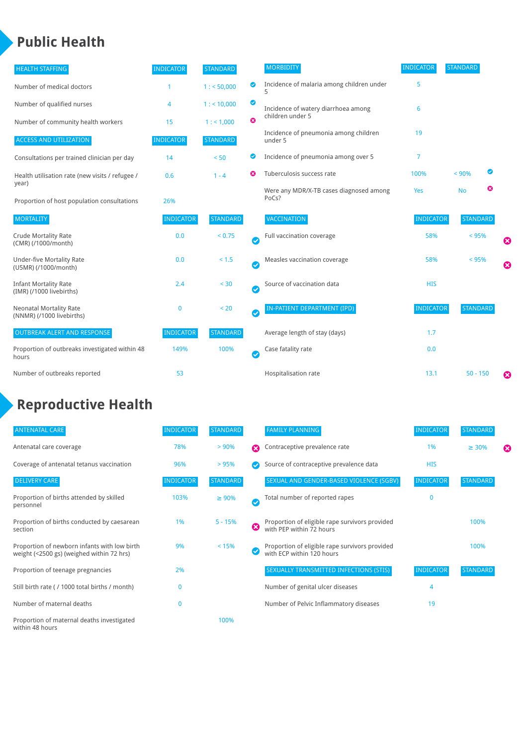## **Public Health**

| <b>HEALTH STAFFING</b>                                      | <b>INDICATOR</b> | <b>STANDARD</b> |                    | <b>MORBIDITY</b>                                 | <b>INDICATOR</b> | <b>STANDARD</b> |   |                       |
|-------------------------------------------------------------|------------------|-----------------|--------------------|--------------------------------------------------|------------------|-----------------|---|-----------------------|
| Number of medical doctors                                   |                  | 1: 50,000       | ◎                  | Incidence of malaria among children under        | 5                |                 |   |                       |
| Number of qualified nurses                                  | 4                | 1:10,000        | ◙                  | Incidence of watery diarrhoea among              | 6                |                 |   |                       |
| Number of community health workers                          | 15               | 1: 1,000        | ೞ                  | children under 5                                 |                  |                 |   |                       |
| <b>ACCESS AND UTILIZATION</b>                               | <b>INDICATOR</b> | <b>STANDARD</b> |                    | Incidence of pneumonia among children<br>under 5 | 19               |                 |   |                       |
| Consultations per trained clinician per day                 | 14               | < 50            | Ø                  | Incidence of pneumonia among over 5              | 7                |                 |   |                       |
| Health utilisation rate (new visits / refugee /             | 0.6              | $1 - 4$         | Ø                  | Tuberculosis success rate                        | 100%             | < 90%           | ☑ |                       |
| year)<br>Proportion of host population consultations        | 26%              |                 |                    | Were any MDR/X-TB cases diagnosed among<br>PoCs? | Yes              | <b>No</b>       | ☺ |                       |
| <b>MORTALITY</b>                                            | <b>INDICATOR</b> | <b>STANDARD</b> |                    | VACCINATION                                      | <b>INDICATOR</b> | <b>STANDARD</b> |   |                       |
| <b>Crude Mortality Rate</b><br>(CMR) (/1000/month)          | 0.0              | < 0.75          | $\bullet$          | Full vaccination coverage                        | 58%              | $< 95\%$        |   | ☺                     |
| <b>Under-five Mortality Rate</b><br>(U5MR) (/1000/month)    | 0.0              | < 1.5           | $\bullet$          | Measles vaccination coverage                     | 58%              | $< 95\%$        |   | $\boldsymbol{\Omega}$ |
| <b>Infant Mortality Rate</b><br>(IMR) (/1000 livebirths)    | 2.4              | < 30            | $\bullet$          | Source of vaccination data                       | <b>HIS</b>       |                 |   |                       |
| <b>Neonatal Mortality Rate</b><br>(NNMR) (/1000 livebirths) | $\mathbf{0}$     | < 20            | $\bullet$          | <b>IN-PATIENT DEPARTMENT (IPD)</b>               | <b>INDICATOR</b> | <b>STANDARD</b> |   |                       |
| <b>OUTBREAK ALERT AND RESPONSE</b>                          | <b>INDICATOR</b> | <b>STANDARD</b> |                    | Average length of stay (days)                    | 1.7              |                 |   |                       |
| Proportion of outbreaks investigated within 48<br>hours     | 149%             | 100%            | $\bm{\bm{\omega}}$ | Case fatality rate                               | 0.0              |                 |   |                       |
| Number of outbreaks reported                                | 53               |                 |                    | Hospitalisation rate                             | 13.1             | $50 - 150$      |   | ೞ                     |

# **Reproductive Health**

| <b>ANTENATAL CARE</b>                                                                     | <b>INDICATOR</b> | <b>STANDARD</b> |                       | <b>FAMILY PLANNING</b>                                                      | <b>INDICATOR</b> | <b>STANDARD</b> |   |
|-------------------------------------------------------------------------------------------|------------------|-----------------|-----------------------|-----------------------------------------------------------------------------|------------------|-----------------|---|
| Antenatal care coverage                                                                   | 78%              | > 90%           | $\boldsymbol{\Omega}$ | Contraceptive prevalence rate                                               | 1%               | $\geq 30\%$     | ⊠ |
| Coverage of antenatal tetanus vaccination                                                 | 96%              | >95%            |                       | Source of contraceptive prevalence data                                     | <b>HIS</b>       |                 |   |
| <b>DELIVERY CARE</b>                                                                      | <b>INDICATOR</b> | <b>STANDARD</b> |                       | SEXUAL AND GENDER-BASED VIOLENCE (SGBV)                                     | <b>INDICATOR</b> | <b>STANDARD</b> |   |
| Proportion of births attended by skilled<br>personnel                                     | 103%             | $\geq 90\%$     | Ø                     | Total number of reported rapes                                              | $\mathbf{0}$     |                 |   |
| Proportion of births conducted by caesarean<br>section                                    | 1%               | $5 - 15%$       | ظ                     | Proportion of eligible rape survivors provided<br>with PEP within 72 hours  |                  | 100%            |   |
| Proportion of newborn infants with low birth<br>weight (<2500 gs) (weighed within 72 hrs) | 9%               | < 15%           |                       | Proportion of eligible rape survivors provided<br>with ECP within 120 hours |                  | 100%            |   |
| Proportion of teenage pregnancies                                                         | 2%               |                 |                       | SEXUALLY TRANSMITTED INFECTIONS (STIS)                                      | <b>INDICATOR</b> | <b>STANDARD</b> |   |
| Still birth rate (/ 1000 total births / month)                                            | n                |                 |                       | Number of genital ulcer diseases                                            | 4                |                 |   |
| Number of maternal deaths                                                                 | $\mathbf{0}$     |                 |                       | Number of Pelvic Inflammatory diseases                                      | 19               |                 |   |
| Proportion of maternal deaths investigated<br>within 48 hours                             |                  | 100%            |                       |                                                                             |                  |                 |   |